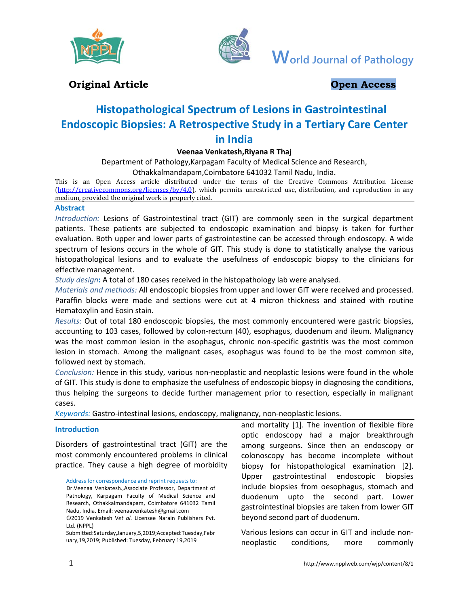



**World Journal of Pathology**

## **Original Article Open Access**

# **Histopathological Spectrum of Lesions in Gastrointestinal Endoscopic Biopsies: A Retrospective Study in a Tertiary Care Center in India**

## **Veenaa Venkatesh,Riyana R Thaj**

Department of Pathology,Karpagam Faculty of Medical Science and Research, Othakkalmandapam,Coimbatore 641032 Tamil Nadu, India.

This is an Open Access article distributed under the terms of the Creative Commons Attribution License [\(http://creativecommons.org/licenses/by/4.0\)](http://creativecommons.org/licenses/by/4.0), which permits unrestricted use, distribution, and reproduction in any medium, provided the original work is properly cited.

## **Abstract**

*Introduction:* Lesions of Gastrointestinal tract (GIT) are commonly seen in the surgical department patients. These patients are subjected to endoscopic examination and biopsy is taken for further evaluation. Both upper and lower parts of gastrointestine can be accessed through endoscopy. A wide spectrum of lesions occurs in the whole of GIT. This study is done to statistically analyse the various histopathological lesions and to evaluate the usefulness of endoscopic biopsy to the clinicians for effective management.

*Study design***:** A total of 180 cases received in the histopathology lab were analysed.

*Materials and methods:* All endoscopic biopsies from upper and lower GIT were received and processed. Paraffin blocks were made and sections were cut at 4 micron thickness and stained with routine Hematoxylin and Eosin stain.

*Results:* Out of total 180 endoscopic biopsies, the most commonly encountered were gastric biopsies, accounting to 103 cases, followed by colon-rectum (40), esophagus, duodenum and ileum. Malignancy was the most common lesion in the esophagus, chronic non-specific gastritis was the most common lesion in stomach. Among the malignant cases, esophagus was found to be the most common site, followed next by stomach.

*Conclusion:* Hence in this study, various non-neoplastic and neoplastic lesions were found in the whole of GIT. This study is done to emphasize the usefulness of endoscopic biopsy in diagnosing the conditions, thus helping the surgeons to decide further management prior to resection, especially in malignant cases.

*Keywords:* Gastro-intestinal lesions, endoscopy, malignancy, non-neoplastic lesions.

## **Introduction**

Disorders of gastrointestinal tract (GIT) are the most commonly encountered problems in clinical practice. They cause a high degree of morbidity

Address for correspondence and reprint requests to:

Dr.Veenaa Venkatesh.,Associate Professor, Department of Pathology, Karpagam Faculty of Medical Science and Research, Othakkalmandapam, Coimbatore 641032 Tamil Nadu, India. Email: veenaavenkatesh@gmail.com ©2019 Venkatesh V*et al*. Licensee Narain Publishers Pvt. Ltd. (NPPL)

Submitted:Saturday,January,5,2019;Accepted:Tuesday,Febr uary,19,2019; Published: Tuesday, February 19,2019

and mortality [1]. The invention of flexible fibre optic endoscopy had a major breakthrough among surgeons. Since then an endoscopy or colonoscopy has become incomplete without biopsy for histopathological examination [2]. Upper gastrointestinal endoscopic biopsies include biopsies from oesophagus, stomach and duodenum upto the second part. Lower gastrointestinal biopsies are taken from lower GIT beyond second part of duodenum.

Various lesions can occur in GIT and include nonneoplastic conditions, more commonly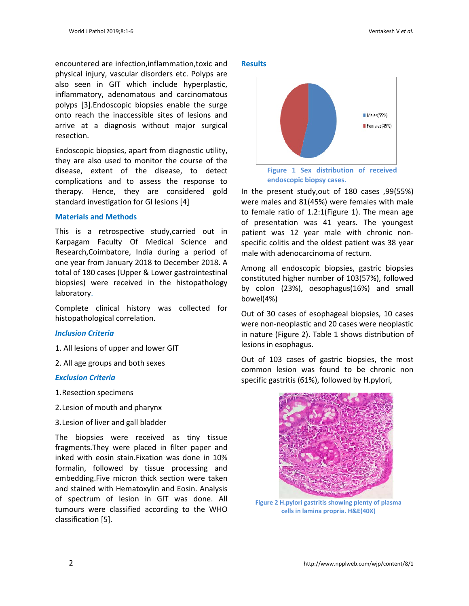encountered are infection,inflammation,toxic and physical injury, vascular disorders etc. Polyps are also seen in GIT which include hyperplastic, inflammatory, adenomatous and carcinomatous polyps [3].Endoscopic biopsies enable the surge onto reach the inaccessible sites of lesions and arrive at a diagnosis without major surgical resection.

Endoscopic biopsies, apart from diagnostic utility, they are also used to monitor the course of the disease, extent of the disease, to detect complications and to assess the response to therapy. Hence, they are considered gold standard investigation for GI lesions [4]

## **Materials and Methods**

This is a retrospective study,carried out in Karpagam Faculty Of Medical Science and Research,Coimbatore, India during a period of one year from January 2018 to December 2018. A total of 180 cases (Upper & Lower gastrointestinal biopsies) were received in the histopathology laboratory.

Complete clinical history was collected for histopathological correlation.

## *Inclusion Criteria*

- 1. All lesions of upper and lower GIT
- 2. All age groups and both sexes

#### *Exclusion Criteria*

- 1.Resection specimens
- 2.Lesion of mouth and pharynx
- 3.Lesion of liver and gall bladder

The biopsies were received as tiny tissue fragments.They were placed in filter paper and inked with eosin stain.Fixation was done in 10% formalin, followed by tissue processing and embedding.Five micron thick section were taken and stained with Hematoxylin and Eosin. Analysis of spectrum of lesion in GIT was done. All tumours were classified according to the WHO classification [5].

#### **Results**



**endoscopic biopsy cases.**

In the present study,out of 180 cases ,99(55%) were males and 81(45%) were females with male to female ratio of 1.2:1(Figure 1). The mean age of presentation was 41 years. The youngest patient was 12 year male with chronic nonspecific colitis and the oldest patient was 38 year male with adenocarcinoma of rectum.

Among all endoscopic biopsies, gastric biopsies constituted higher number of 103(57%), followed by colon (23%), oesophagus(16%) and small bowel(4%)

Out of 30 cases of esophageal biopsies, 10 cases were non-neoplastic and 20 cases were neoplastic in nature (Figure 2). Table 1 shows distribution of lesions in esophagus.

Out of 103 cases of gastric biopsies, the most common lesion was found to be chronic non specific gastritis (61%), followed by H.pylori,



**Figure 2 H.pylori gastritis showing plenty of plasma cells in lamina propria. H&E(40X)**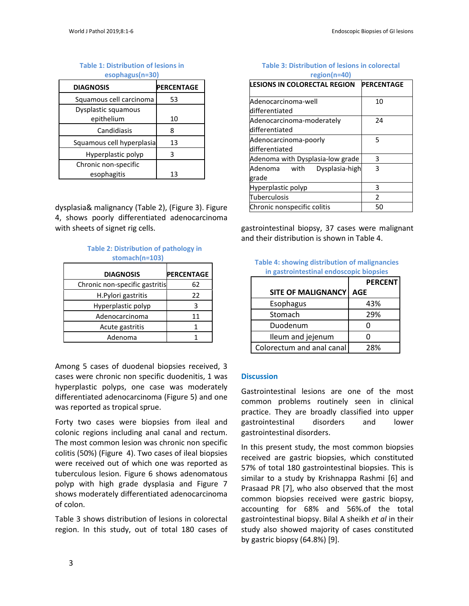## **Table 1: Distribution of lesions in**

**esophagus(n=30)**

| <b>DIAGNOSIS</b>          | <b>PERCENTAGE</b> |
|---------------------------|-------------------|
| Squamous cell carcinoma   | 53                |
| Dysplastic squamous       |                   |
| epithelium                | 10                |
| Candidiasis               | 8                 |
| Squamous cell hyperplasia | 13                |
| Hyperplastic polyp        | ς                 |
| Chronic non-specific      |                   |
| esophagitis               | 13                |

dysplasia& malignancy (Table 2), (Figure 3). Figure 4, shows poorly differentiated adenocarcinoma with sheets of signet rig cells.

#### **Table 2: Distribution of pathology in stomach(n=103)**

| <b>DIAGNOSIS</b>               | <b>PERCENTAGE</b> |
|--------------------------------|-------------------|
| Chronic non-specific gastritis | 62                |
| H.Pylori gastritis             | 22                |
| Hyperplastic polyp             |                   |
| Adenocarcinoma                 | 11                |
| Acute gastritis                |                   |
| Adenoma                        |                   |

Among 5 cases of duodenal biopsies received, 3 cases were chronic non specific duodenitis, 1 was hyperplastic polyps, one case was moderately differentiated adenocarcinoma (Figure 5) and one was reported as tropical sprue.

Forty two cases were biopsies from ileal and colonic regions including anal canal and rectum. The most common lesion was chronic non specific colitis (50%) (Figure 4). Two cases of ileal biopsies were received out of which one was reported as tuberculous lesion. Figure 6 shows adenomatous polyp with high grade dysplasia and Figure 7 shows moderately differentiated adenocarcinoma of colon.

Table 3 shows distribution of lesions in colorectal region. In this study, out of total 180 cases of

#### **Table 3: Distribution of lesions in colorectal region(n=40)**

| <b>LESIONS IN COLORECTAL REGION</b> | <b>PERCENTAGE</b> |
|-------------------------------------|-------------------|
| Adenocarcinoma-well                 | 10                |
| differentiated                      |                   |
| Adenocarcinoma-moderately           | 24                |
| differentiated                      |                   |
| Adenocarcinoma-poorly               | 5                 |
| differentiated                      |                   |
| Adenoma with Dysplasia-low grade    | 3                 |
| Dysplasia-high<br>Adenoma with      | 3                 |
| grade                               |                   |
| Hyperplastic polyp                  | 3                 |
| Tuberculosis                        | $\mathcal{P}$     |
| Chronic nonspecific colitis         | 50                |

gastrointestinal biopsy, 37 cases were malignant and their distribution is shown in Table 4.

|                                         | Table 4: showing distribution of malignancies |  |  |  |  |
|-----------------------------------------|-----------------------------------------------|--|--|--|--|
| in gastrointestinal endoscopic biopsies |                                               |  |  |  |  |

|                           | <b>PERCENT</b> |
|---------------------------|----------------|
| <b>SITE OF MALIGNANCY</b> | <b>AGE</b>     |
| Esophagus                 | 43%            |
| Stomach                   | 29%            |
| Duodenum                  |                |
| Ileum and jejenum         |                |
| Colorectum and anal canal | 28%            |

## **Discussion**

Gastrointestinal lesions are one of the most common problems routinely seen in clinical practice. They are broadly classified into upper gastrointestinal disorders and lower gastrointestinal disorders.

In this present study, the most common biopsies received are gastric biopsies, which constituted 57% of total 180 gastrointestinal biopsies. This is similar to a study by Krishnappa Rashmi [6] and Prasaad PR [7], who also observed that the most common biopsies received were gastric biopsy, accounting for 68% and 56%.of the total gastrointestinal biopsy. Bilal A sheikh *et al* in their study also showed majority of cases constituted by gastric biopsy (64.8%) [9].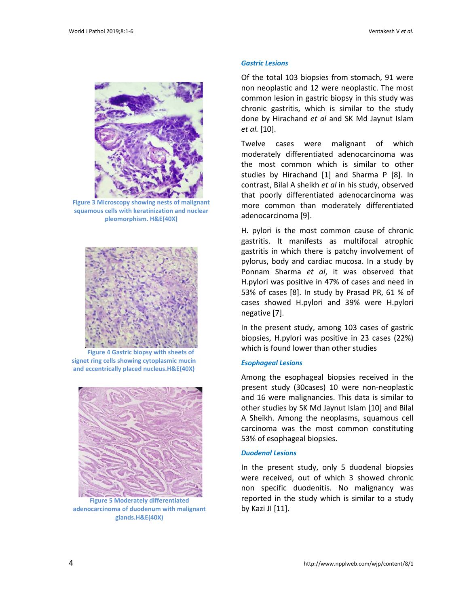

**Figure 3 Microscopy showing nests of malignant squamous cells with keratinization and nuclear pleomorphism. H&E(40X)**



**Figure 4 Gastric biopsy with sheets of signet ring cells showing cytoplasmic mucin and eccentrically placed nucleus.H&E(40X)**



**Figure 5 Moderately differentiated adenocarcinoma of duodenum with malignant glands.H&E(40X)**

#### *Gastric Lesions*

Of the total 103 biopsies from stomach, 91 were non neoplastic and 12 were neoplastic. The most common lesion in gastric biopsy in this study was chronic gastritis, which is similar to the study done by Hirachand *et al* and SK Md Jaynut Islam *et al.* [10].

Twelve cases were malignant of which moderately differentiated adenocarcinoma was the most common which is similar to other studies by Hirachand [1] and Sharma P [8]. In contrast, Bilal A sheikh *et al* in his study, observed that poorly differentiated adenocarcinoma was more common than moderately differentiated adenocarcinoma [9].

H. pylori is the most common cause of chronic gastritis. It manifests as multifocal atrophic gastritis in which there is patchy involvement of pylorus, body and cardiac mucosa. In a study by Ponnam Sharma *et al*, it was observed that H.pylori was positive in 47% of cases and need in 53% of cases [8]. In study by Prasad PR, 61 % of cases showed H.pylori and 39% were H.pylori negative [7].

In the present study, among 103 cases of gastric biopsies, H.pylori was positive in 23 cases (22%) which is found lower than other studies

#### *Esophageal Lesions*

Among the esophageal biopsies received in the present study (30cases) 10 were non-neoplastic and 16 were malignancies. This data is similar to other studies by SK Md Jaynut Islam [10] and Bilal A Sheikh. Among the neoplasms, squamous cell carcinoma was the most common constituting 53% of esophageal biopsies.

#### *Duodenal Lesions*

In the present study, only 5 duodenal biopsies were received, out of which 3 showed chronic non specific duodenitis. No malignancy was reported in the study which is similar to a study by Kazi JI [11].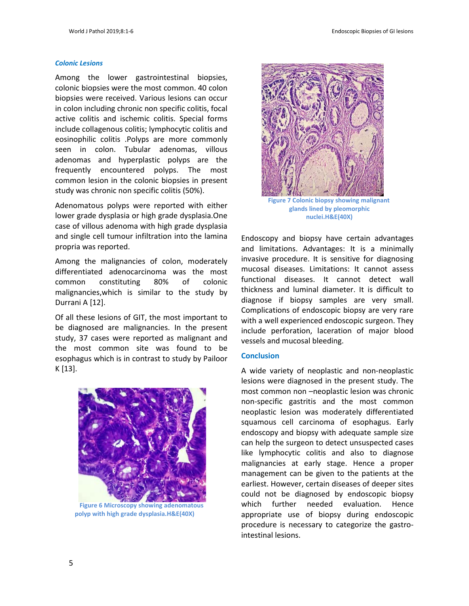#### *Colonic Lesions*

Among the lower gastrointestinal biopsies, colonic biopsies were the most common. 40 colon biopsies were received. Various lesions can occur in colon including chronic non specific colitis, focal active colitis and ischemic colitis. Special forms include collagenous colitis; lymphocytic colitis and eosinophilic colitis .Polyps are more commonly seen in colon. Tubular adenomas, villous adenomas and hyperplastic polyps are the frequently encountered polyps. The most common lesion in the colonic biopsies in present study was chronic non specific colitis (50%).

Adenomatous polyps were reported with either lower grade dysplasia or high grade dysplasia.One case of villous adenoma with high grade dysplasia and single cell tumour infiltration into the lamina propria was reported.

Among the malignancies of colon, moderately differentiated adenocarcinoma was the most common constituting 80% of colonic malignancies,which is similar to the study by Durrani A [12].

Of all these lesions of GIT, the most important to be diagnosed are malignancies. In the present study, 37 cases were reported as malignant and the most common site was found to be esophagus which is in contrast to study by Pailoor K [13].



**Figure 6 Microscopy showing adenomatous polyp with high grade dysplasia.H&E(40X)**



**glands lined by pleomorphic nuclei.H&E(40X)**

Endoscopy and biopsy have certain advantages and limitations. Advantages: It is a minimally invasive procedure. It is sensitive for diagnosing mucosal diseases. Limitations: It cannot assess functional diseases. It cannot detect wall thickness and luminal diameter. It is difficult to diagnose if biopsy samples are very small. Complications of endoscopic biopsy are very rare with a well experienced endoscopic surgeon. They include perforation, laceration of major blood vessels and mucosal bleeding.

#### **Conclusion**

A wide variety of neoplastic and non-neoplastic lesions were diagnosed in the present study. The most common non –neoplastic lesion was chronic non-specific gastritis and the most common neoplastic lesion was moderately differentiated squamous cell carcinoma of esophagus. Early endoscopy and biopsy with adequate sample size can help the surgeon to detect unsuspected cases like lymphocytic colitis and also to diagnose malignancies at early stage. Hence a proper management can be given to the patients at the earliest. However, certain diseases of deeper sites could not be diagnosed by endoscopic biopsy which further needed evaluation. Hence appropriate use of biopsy during endoscopic procedure is necessary to categorize the gastrointestinal lesions.